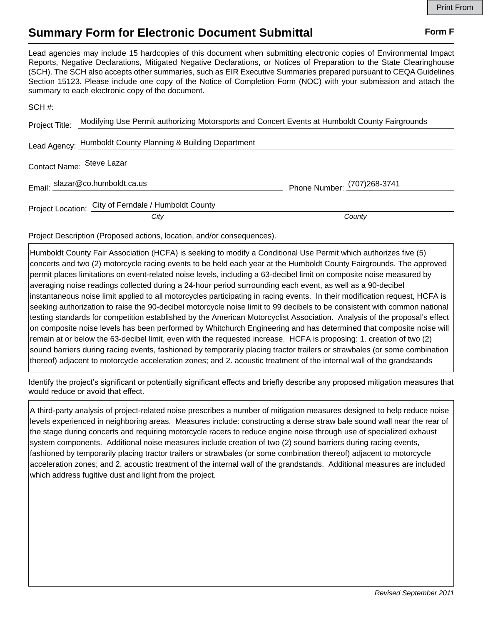## **Summary Form for Electronic Document Submittal Form F Form F**

Lead agencies may include 15 hardcopies of this document when submitting electronic copies of Environmental Impact Reports, Negative Declarations, Mitigated Negative Declarations, or Notices of Preparation to the State Clearinghouse (SCH). The SCH also accepts other summaries, such as EIR Executive Summaries prepared pursuant to CEQA Guidelines Section 15123. Please include one copy of the Notice of Completion Form (NOC) with your submission and attach the summary to each electronic copy of the document.

| Project Title: Modifying Use Permit authorizing Motorsports and Concert Events at Humboldt County Fairgrounds |                             |
|---------------------------------------------------------------------------------------------------------------|-----------------------------|
| Lead Agency: Humboldt County Planning & Building Department                                                   |                             |
| Contact Name: Steve Lazar                                                                                     |                             |
| Email: slazar@co.humboldt.ca.us                                                                               | Phone Number: (707)268-3741 |
| Project Location: City of Ferndale / Humboldt County                                                          |                             |
| City                                                                                                          | County                      |

Project Description (Proposed actions, location, and/or consequences).

Humboldt County Fair Association (HCFA) is seeking to modify a Conditional Use Permit which authorizes five (5) concerts and two (2) motorcycle racing events to be held each year at the Humboldt County Fairgrounds. The approved permit places limitations on event-related noise levels, including a 63-decibel limit on composite noise measured by averaging noise readings collected during a 24-hour period surrounding each event, as well as a 90-decibel instantaneous noise limit applied to all motorcycles participating in racing events. In their modification request, HCFA is seeking authorization to raise the 90-decibel motorcycle noise limit to 99 decibels to be consistent with common national testing standards for competition established by the American Motorcyclist Association. Analysis of the proposal's effect on composite noise levels has been performed by Whitchurch Engineering and has determined that composite noise will remain at or below the 63-decibel limit, even with the requested increase. HCFA is proposing: 1. creation of two (2) sound barriers during racing events, fashioned by temporarily placing tractor trailers or strawbales (or some combination thereof) adjacent to motorcycle acceleration zones; and 2. acoustic treatment of the internal wall of the grandstands

Identify the project's significant or potentially significant effects and briefly describe any proposed mitigation measures that would reduce or avoid that effect.

A third-party analysis of project-related noise prescribes a number of mitigation measures designed to help reduce noise levels experienced in neighboring areas. Measures include: constructing a dense straw bale sound wall near the rear of the stage during concerts and requiring motorcycle racers to reduce engine noise through use of specialized exhaust system components. Additional noise measures include creation of two (2) sound barriers during racing events, fashioned by temporarily placing tractor trailers or strawbales (or some combination thereof) adjacent to motorcycle acceleration zones; and 2. acoustic treatment of the internal wall of the grandstands. Additional measures are included which address fugitive dust and light from the project.